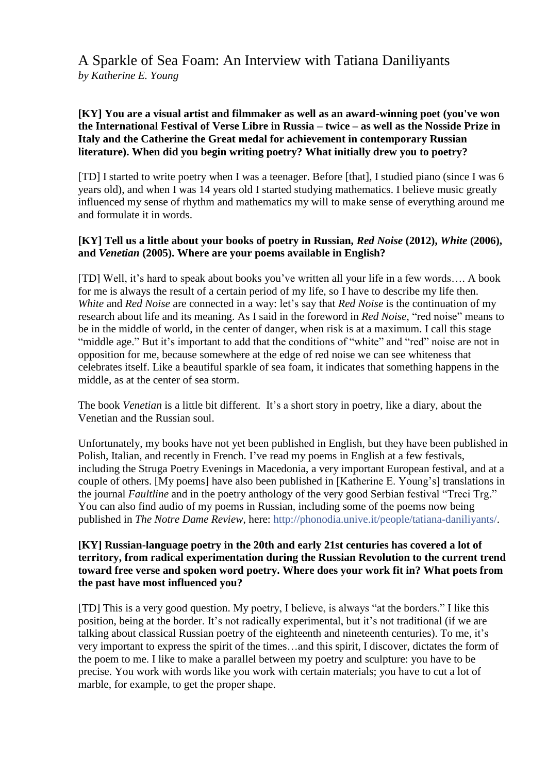A Sparkle of Sea Foam: An Interview with Tatiana Daniliyants *by Katherine E. Young*

#### **[KY] You are a visual artist and filmmaker as well as an award-winning poet (you've won the International Festival of Verse Libre in Russia – twice – as well as the Nosside Prize in Italy and the Catherine the Great medal for achievement in contemporary Russian literature). When did you begin writing poetry? What initially drew you to poetry?**

[TD] I started to write poetry when I was a teenager. Before [that], I studied piano (since I was 6 years old), and when I was 14 years old I started studying mathematics. I believe music greatly influenced my sense of rhythm and mathematics my will to make sense of everything around me and formulate it in words.

### **[KY] Tell us a little about your books of poetry in Russian,** *Red Noise* **(2012),** *White* **(2006), and** *Venetian* **(2005). Where are your poems available in English?**

[TD] Well, it's hard to speak about books you've written all your life in a few words.... A book for me is always the result of a certain period of my life, so I have to describe my life then. *White* and *Red Noise* are connected in a way: let's say that *Red Noise* is the continuation of my research about life and its meaning. As I said in the foreword in *Red Noise*, "red noise" means to be in the middle of world, in the center of danger, when risk is at a maximum. I call this stage "middle age." But it's important to add that the conditions of "white" and "red" noise are not in opposition for me, because somewhere at the edge of red noise we can see whiteness that celebrates itself. Like a beautiful sparkle of sea foam, it indicates that something happens in the middle, as at the center of sea storm.

The book *Venetian* is a little bit different. It's a short story in poetry, like a diary, about the Venetian and the Russian soul.

Unfortunately, my books have not yet been published in English, but they have been published in Polish, Italian, and recently in French. I've read my poems in English at a few festivals, including the Struga Poetry Evenings in Macedonia, a very important European festival, and at a couple of others. [My poems] have also been published in [Katherine E. Young's] translations in the journal *Faultline* and in the poetry anthology of the very good Serbian festival "Treci Trg." You can also find audio of my poems in Russian, including some of the poems now being published in *The Notre Dame Review*, here: [http://phonodia.unive.it/people/tatiana-daniliyants/.](http://phonodia.unive.it/people/tatiana-daniliyants/)

#### **[KY] Russian-language poetry in the 20th and early 21st centuries has covered a lot of territory, from radical experimentation during the Russian Revolution to the current trend toward free verse and spoken word poetry. Where does your work fit in? What poets from the past have most influenced you?**

[TD] This is a very good question. My poetry, I believe, is always "at the borders." I like this position, being at the border. It's not radically experimental, but it's not traditional (if we are talking about classical Russian poetry of the eighteenth and nineteenth centuries). To me, it's very important to express the spirit of the times…and this spirit, I discover, dictates the form of the poem to me. I like to make a parallel between my poetry and sculpture: you have to be precise. You work with words like you work with certain materials; you have to cut a lot of marble, for example, to get the proper shape.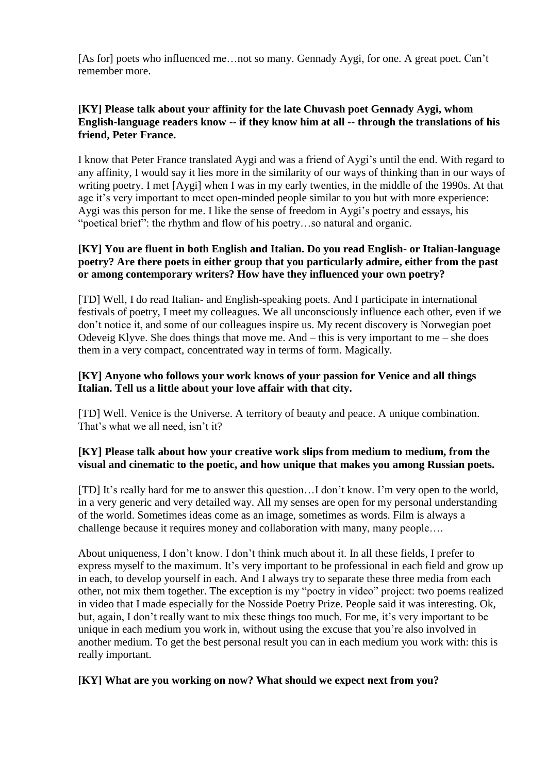[As for] poets who influenced me…not so many. Gennady Aygi, for one. A great poet. Can't remember more.

# **[KY] Please talk about your affinity for the late Chuvash poet Gennady Aygi, whom English-language readers know -- if they know him at all -- through the translations of his friend, Peter France.**

I know that Peter France translated Aygi and was a friend of Aygi's until the end. With regard to any affinity, I would say it lies more in the similarity of our ways of thinking than in our ways of writing poetry. I met [Aygi] when I was in my early twenties, in the middle of the 1990s. At that age it's very important to meet open-minded people similar to you but with more experience: Aygi was this person for me. I like the sense of freedom in Aygi's poetry and essays, his "poetical brief": the rhythm and flow of his poetry…so natural and organic.

# **[KY] You are fluent in both English and Italian. Do you read English- or Italian-language poetry? Are there poets in either group that you particularly admire, either from the past or among contemporary writers? How have they influenced your own poetry?**

[TD] Well, I do read Italian- and English-speaking poets. And I participate in international festivals of poetry, I meet my colleagues. We all unconsciously influence each other, even if we don't notice it, and some of our colleagues inspire us. My recent discovery is Norwegian poet Odeveig Klyve. She does things that move me. And – this is very important to me – she does them in a very compact, concentrated way in terms of form. Magically.

### **[KY] Anyone who follows your work knows of your passion for Venice and all things Italian. Tell us a little about your love affair with that city.**

[TD] Well. Venice is the Universe. A territory of beauty and peace. A unique combination. That's what we all need, isn't it?

# **[KY] Please talk about how your creative work slips from medium to medium, from the visual and cinematic to the poetic, and how unique that makes you among Russian poets.**

[TD] It's really hard for me to answer this question…I don't know. I'm very open to the world, in a very generic and very detailed way. All my senses are open for my personal understanding of the world. Sometimes ideas come as an image, sometimes as words. Film is always a challenge because it requires money and collaboration with many, many people….

About uniqueness, I don't know. I don't think much about it. In all these fields, I prefer to express myself to the maximum. It's very important to be professional in each field and grow up in each, to develop yourself in each. And I always try to separate these three media from each other, not mix them together. The exception is my "poetry in video" project: two poems realized in video that I made especially for the Nosside Poetry Prize. People said it was interesting. Ok, but, again, I don't really want to mix these things too much. For me, it's very important to be unique in each medium you work in, without using the excuse that you're also involved in another medium. To get the best personal result you can in each medium you work with: this is really important.

# **[KY] What are you working on now? What should we expect next from you?**